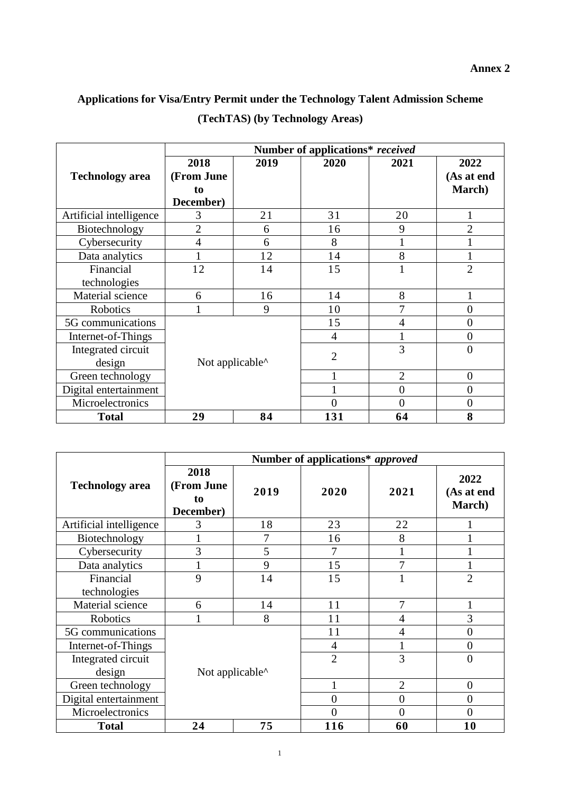## **Applications for Visa/Entry Permit under the Technology Talent Admission Scheme (TechTAS) (by Technology Areas)**

|                         | Number of applications* received      |                                               |                |                |                              |  |
|-------------------------|---------------------------------------|-----------------------------------------------|----------------|----------------|------------------------------|--|
| <b>Technology</b> area  | 2018<br>(From June<br>to<br>December) | 2019                                          | 2020           | 2021           | 2022<br>(As at end<br>March) |  |
| Artificial intelligence | 3                                     | 21                                            | 31             | 20             |                              |  |
| Biotechnology           | $\overline{2}$                        | 6                                             | 16             | 9              | $\overline{2}$               |  |
| Cybersecurity           | 4                                     | 6                                             | 8              |                |                              |  |
| Data analytics          |                                       | 12                                            | 14             | 8              |                              |  |
| Financial               | 12                                    | 14                                            | 15             |                | $\overline{2}$               |  |
| technologies            |                                       |                                               |                |                |                              |  |
| Material science        | 6                                     | 16                                            | 14             | 8              |                              |  |
| Robotics                |                                       | 9                                             | 10             | 7              | 0                            |  |
| 5G communications       |                                       |                                               | 15             | 4              | 0                            |  |
| Internet-of-Things      |                                       |                                               | 4              |                | 0                            |  |
| Integrated circuit      |                                       |                                               | $\overline{2}$ | 3              | 0                            |  |
| design                  |                                       | Not applicable <sup><math>\wedge</math></sup> |                |                |                              |  |
| Green technology        |                                       |                                               |                | $\overline{2}$ | $\overline{0}$               |  |
| Digital entertainment   |                                       |                                               |                | $\overline{0}$ | 0                            |  |
| Microelectronics        |                                       |                                               | $\Omega$       | $\theta$       | 0                            |  |
| <b>Total</b>            | 29                                    | 84                                            | 131            | 64             | 8                            |  |

|                           | Number of applications* approved              |      |                |                |                              |  |
|---------------------------|-----------------------------------------------|------|----------------|----------------|------------------------------|--|
| <b>Technology</b> area    | 2018<br>(From June<br>to<br>December)         | 2019 | 2020           | 2021           | 2022<br>(As at end<br>March) |  |
| Artificial intelligence   | 3                                             | 18   | 23             | 22             |                              |  |
| Biotechnology             |                                               | 7    | 16             | 8              |                              |  |
| Cybersecurity             | 3                                             | 5    | 7              |                |                              |  |
| Data analytics            |                                               | 9    | 15             | 7              |                              |  |
| Financial<br>technologies | 9                                             | 14   | 15             |                | $\overline{2}$               |  |
| Material science          | 6                                             | 14   | 11             | 7              |                              |  |
| Robotics                  |                                               | 8    | 11             | 4              | 3                            |  |
| 5G communications         |                                               |      | 11             | 4              | $\Omega$                     |  |
| Internet-of-Things        |                                               |      | $\overline{4}$ |                | 0                            |  |
| Integrated circuit        |                                               |      | $\overline{2}$ | 3              | $\Omega$                     |  |
| design                    | Not applicable <sup><math>\wedge</math></sup> |      |                |                |                              |  |
| Green technology          |                                               |      | 1              | $\overline{2}$ | $\Omega$                     |  |
| Digital entertainment     |                                               |      | $\overline{0}$ | $\overline{0}$ | $\overline{0}$               |  |
| Microelectronics          |                                               |      | $\theta$       | $\theta$       | $\Omega$                     |  |
| <b>Total</b>              | 24                                            | 75   | 116            | 60             | 10                           |  |